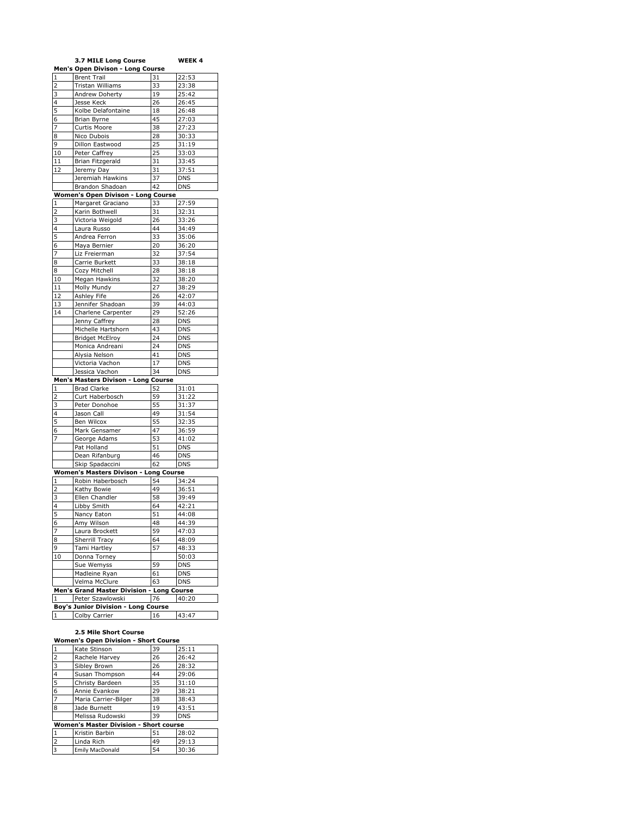|                | 3.7 MILE Long Course                       |    | WEEK 4     |
|----------------|--------------------------------------------|----|------------|
|                | Men's Open Divison - Long Course           |    |            |
| $\mathbf{1}$   | <b>Brent Trail</b>                         | 31 | 22:53      |
| $\overline{2}$ | Tristan Williams                           | 33 | 23:38      |
| 3              | Andrew Doherty                             | 19 | 25:42      |
| 4              |                                            |    |            |
|                | Jesse Keck                                 | 26 | 26:45      |
| 5              | Kolbe Delafontaine                         | 18 | 26:48      |
| 6              | Brian Byrne                                | 45 | 27:03      |
| 7              | Curtis Moore                               | 38 | 27:23      |
| 8              | Nico Dubois                                | 28 | 30:33      |
| 9              | Dillon Eastwood                            | 25 | 31:19      |
| 10             | Peter Caffrey                              | 25 | 33:03      |
| 11             | Brian Fitzgerald                           | 31 | 33:45      |
|                |                                            |    |            |
| 12             | Jeremy Day                                 | 31 | 37:51      |
|                | Jeremiah Hawkins                           | 37 | <b>DNS</b> |
|                | Brandon Shadoan                            | 42 | <b>DNS</b> |
|                | <b>Women's Open Divison - Long Course</b>  |    |            |
| 1              | Margaret Graciano                          | 33 | 27:59      |
| $\overline{2}$ | Karin Bothwell                             | 31 | 32:31      |
|                |                                            |    |            |
| 3              | Victoria Weigold                           | 26 | 33:26      |
| 4              | Laura Russo                                | 44 | 34:49      |
| 5              | Andrea Ferron                              | 33 | 35:06      |
| 6              | Maya Bernier                               | 20 | 36:20      |
| 7              | Liz Freierman                              | 32 | 37:54      |
| 8              | Carrie Burkett                             | 33 | 38:18      |
| 8              | Cozy Mitchell                              | 28 | 38:18      |
|                |                                            |    |            |
| 10             | Megan Hawkins                              | 32 | 38:20      |
| 11             | Molly Mundy                                | 27 | 38:29      |
| 12             | Ashley Fife                                | 26 | 42:07      |
| 13             | Jennifer Shadoan                           | 39 | 44:03      |
| 14             | Charlene Carpenter                         | 29 | 52:26      |
|                | Jenny Caffrey                              | 28 | <b>DNS</b> |
|                |                                            |    |            |
|                | Michelle Hartshorn                         | 43 | <b>DNS</b> |
|                | <b>Bridget McElroy</b>                     | 24 | <b>DNS</b> |
|                | Monica Andreani                            | 24 | <b>DNS</b> |
|                | Alysia Nelson                              | 41 | <b>DNS</b> |
|                | Victoria Vachon                            | 17 | <b>DNS</b> |
|                | Jessica Vachon                             | 34 | <b>DNS</b> |
|                |                                            |    |            |
|                | Men's Masters Divison - Long Course        |    |            |
| $\mathbf{1}$   | <b>Brad Clarke</b>                         | 52 | 31:01      |
| 2              | Curt Haberbosch                            | 59 | 31:22      |
| 3              | Peter Donohoe                              | 55 | 31:37      |
| 4              | Jason Call                                 | 49 | 31:54      |
| 5              | Ben Wilcox                                 | 55 | 32:35      |
| 6              | Mark Gensamer                              | 47 | 36:59      |
|                |                                            |    |            |
| 7              | George Adams                               | 53 | 41:02      |
|                | Pat Holland                                | 51 | <b>DNS</b> |
|                | Dean Rifanburg                             | 46 | <b>DNS</b> |
|                | Skip Spadaccini                            | 62 | <b>DNS</b> |
|                | Women's Masters Divison - Long Course      |    |            |
| $\mathbf{1}$   | Robin Haberbosch                           | 54 | 34:24      |
| 2              | Kathy Bowie                                | 49 | 36:51      |
|                |                                            |    |            |
| 3              | Ellen Chandler                             | 58 | 39:49      |
| $\overline{4}$ | Libby Smith                                | 64 | 42:21      |
| $\overline{5}$ | Nancy Eaton                                | 51 | 44:08      |
| 6              | Amy Wilson                                 | 48 | 44:39      |
| 7              | Laura Brockett                             | 59 | 47:03      |
| 8              | Sherrill Tracy                             | 64 | 48:09      |
| 9              |                                            |    | 48:33      |
|                | Tami Hartley                               | 57 |            |
| 10             | Donna Torney                               |    | 50:03      |
|                | Sue Wemyss                                 | 59 | <b>DNS</b> |
|                | Madleine Ryan                              | 61 | <b>DNS</b> |
|                | Velma McClure                              | 63 | DNS        |
|                | Men's Grand Master Division - Long Course  |    |            |
| $\mathbf{1}$   | Peter Szawlowski                           | 76 | 40:20      |
|                |                                            |    |            |
|                | <b>Boy's Junior Division - Long Course</b> |    |            |
| 1              | Colby Carrier                              | 16 | 43:47      |
|                |                                            |    |            |

## **2.5 Mile Short Course**

| <b>Women's Open Division - Short Course</b> |                                               |    |            |  |
|---------------------------------------------|-----------------------------------------------|----|------------|--|
| 1                                           | Kate Stinson                                  | 39 | 25:11      |  |
| $\overline{2}$                              | Rachele Harvey                                | 26 | 26:42      |  |
| 3                                           | Sibley Brown                                  | 26 | 28:32      |  |
| 4                                           | Susan Thompson                                | 44 | 29:06      |  |
| 5                                           | Christy Bardeen                               | 35 | 31:10      |  |
| 6                                           | Annie Evankow                                 | 29 | 38:21      |  |
| $\overline{7}$                              | Maria Carrier-Bilger                          | 38 | 38:43      |  |
| 8                                           | Jade Burnett                                  | 19 | 43:51      |  |
|                                             | Melissa Rudowski                              | 39 | <b>DNS</b> |  |
|                                             | <b>Women's Master Division - Short course</b> |    |            |  |
| 1                                           | Kristin Barbin                                | 51 | 28:02      |  |
| $\overline{2}$                              | Linda Rich                                    | 49 | 29:13      |  |
| 3                                           | <b>Emily MacDonald</b>                        | 54 | 30:36      |  |